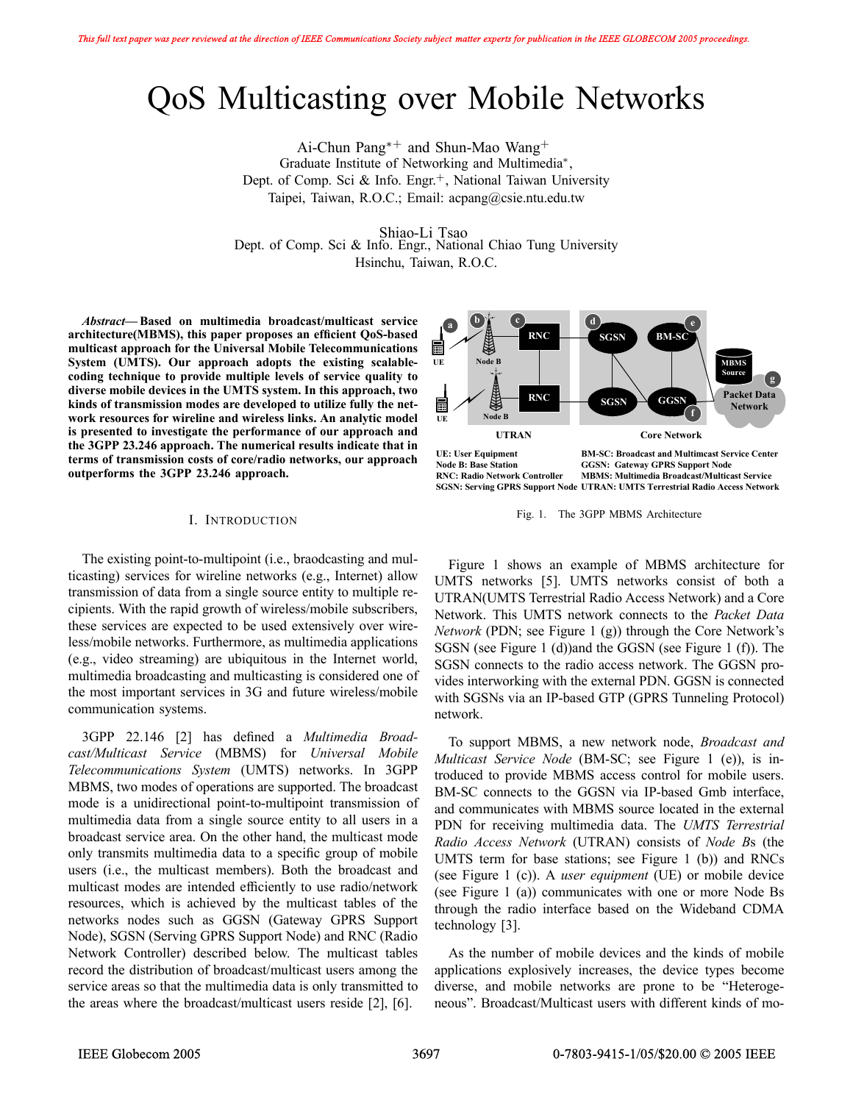# QoS Multicasting over Mobile Networks

Ai-Chun Pang∗<sup>+</sup> and Shun-Mao Wang<sup>+</sup> Graduate Institute of Networking and Multimedia∗, Dept. of Comp. Sci & Info. Engr.<sup>+</sup>, National Taiwan University Taipei, Taiwan, R.O.C.; Email: acpang@csie.ntu.edu.tw

Shiao-Li Tsao Dept. of Comp. Sci & Info. Engr., National Chiao Tung University Hsinchu, Taiwan, R.O.C.

*Abstract***— Based on multimedia broadcast/multicast service architecture(MBMS), this paper proposes an efficient QoS-based multicast approach for the Universal Mobile Telecommunications System (UMTS). Our approach adopts the existing scalablecoding technique to provide multiple levels of service quality to diverse mobile devices in the UMTS system. In this approach, two kinds of transmission modes are developed to utilize fully the network resources for wireline and wireless links. An analytic model is presented to investigate the performance of our approach and the 3GPP 23.246 approach. The numerical results indicate that in terms of transmission costs of core/radio networks, our approach outperforms the 3GPP 23.246 approach.**

#### **<sup>b</sup> <sup>a</sup> c d d e RNC SGSN BM-S** 扁 **UE Node B MBMS Source g RNC Packet Data SGSN GGSI** 匾 **Network f Node B UE UTRAN Core Network UE: User Equipment BM-SC: Broadcast and Multimcast Service Center**<br> **BM-SC: Broadcast and Multimcast Service Center**<br> **GGSN: Gateway GPRS Support Node GGSN: Gateway GPRS Support Node RNC: Radio Network Controller MBMS: Multimedia Broadcast/Multicast Service SGSN: Serving GPRS Support Node UTRAN: UMTS Terrestrial Radio Access Network**

#### I. INTRODUCTION

The existing point-to-multipoint (i.e., braodcasting and multicasting) services for wireline networks (e.g., Internet) allow transmission of data from a single source entity to multiple recipients. With the rapid growth of wireless/mobile subscribers, these services are expected to be used extensively over wireless/mobile networks. Furthermore, as multimedia applications (e.g., video streaming) are ubiquitous in the Internet world, multimedia broadcasting and multicasting is considered one of the most important services in 3G and future wireless/mobile communication systems.

3GPP 22.146 [2] has defined a *Multimedia Broadcast/Multicast Service* (MBMS) for *Universal Mobile Telecommunications System* (UMTS) networks. In 3GPP MBMS, two modes of operations are supported. The broadcast mode is a unidirectional point-to-multipoint transmission of multimedia data from a single source entity to all users in a broadcast service area. On the other hand, the multicast mode only transmits multimedia data to a specific group of mobile users (i.e., the multicast members). Both the broadcast and multicast modes are intended efficiently to use radio/network resources, which is achieved by the multicast tables of the networks nodes such as GGSN (Gateway GPRS Support Node), SGSN (Serving GPRS Support Node) and RNC (Radio Network Controller) described below. The multicast tables record the distribution of broadcast/multicast users among the service areas so that the multimedia data is only transmitted to the areas where the broadcast/multicast users reside [2], [6].

Fig. 1. The 3GPP MBMS Architecture

Figure 1 shows an example of MBMS architecture for UMTS networks [5]. UMTS networks consist of both a UTRAN(UMTS Terrestrial Radio Access Network) and a Core Network. This UMTS network connects to the *Packet Data Network* (PDN; see Figure 1 (g)) through the Core Network's SGSN (see Figure 1 (d))and the GGSN (see Figure 1 (f)). The SGSN connects to the radio access network. The GGSN provides interworking with the external PDN. GGSN is connected with SGSNs via an IP-based GTP (GPRS Tunneling Protocol) network.

To support MBMS, a new network node, *Broadcast and Multicast Service Node* (BM-SC; see Figure 1 (e)), is introduced to provide MBMS access control for mobile users. BM-SC connects to the GGSN via IP-based Gmb interface, and communicates with MBMS source located in the external PDN for receiving multimedia data. The *UMTS Terrestrial Radio Access Network* (UTRAN) consists of *Node B*s (the UMTS term for base stations; see Figure 1 (b)) and RNCs (see Figure 1 (c)). A *user equipment* (UE) or mobile device (see Figure 1 (a)) communicates with one or more Node Bs through the radio interface based on the Wideband CDMA technology [3].

As the number of mobile devices and the kinds of mobile applications explosively increases, the device types become diverse, and mobile networks are prone to be "Heterogeneous". Broadcast/Multicast users with different kinds of mo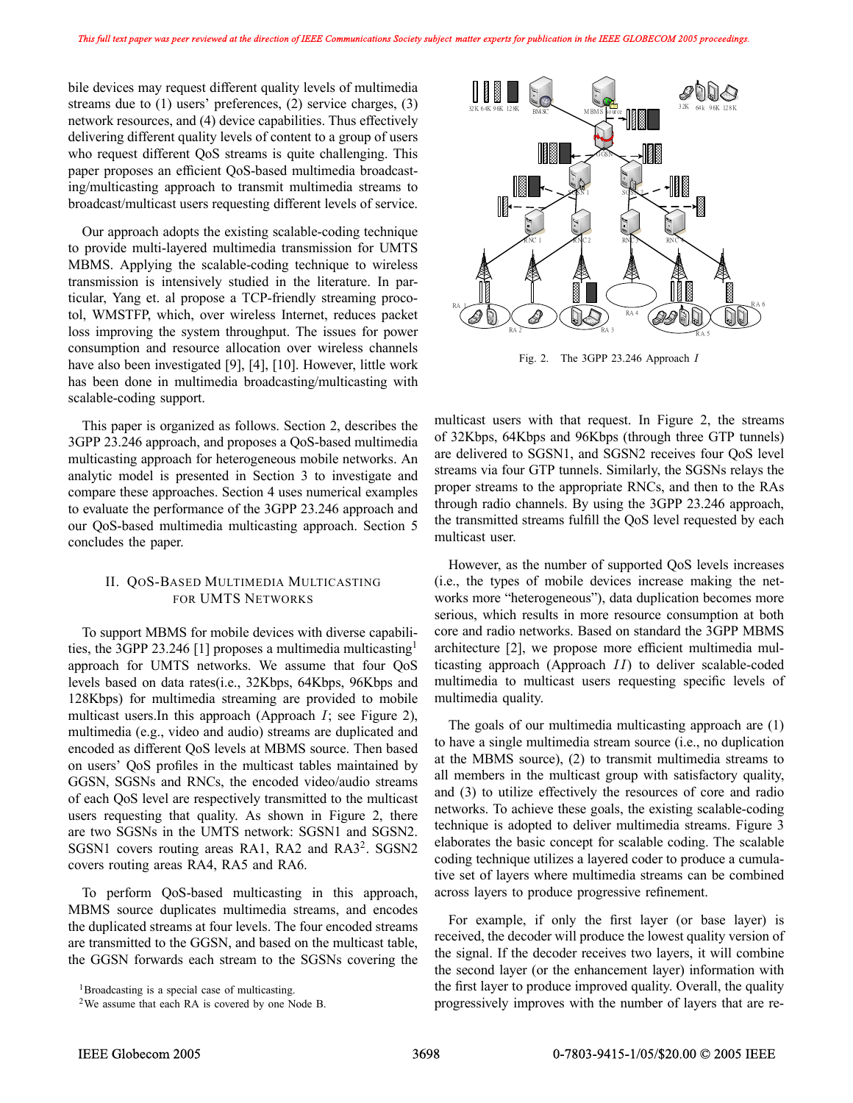bile devices may request different quality levels of multimedia streams due to (1) users' preferences, (2) service charges, (3) network resources, and (4) device capabilities. Thus effectively delivering different quality levels of content to a group of users who request different QoS streams is quite challenging. This paper proposes an efficient QoS-based multimedia broadcasting/multicasting approach to transmit multimedia streams to broadcast/multicast users requesting different levels of service.

Our approach adopts the existing scalable-coding technique to provide multi-layered multimedia transmission for UMTS MBMS. Applying the scalable-coding technique to wireless transmission is intensively studied in the literature. In particular, Yang et. al propose a TCP-friendly streaming procotol, WMSTFP, which, over wireless Internet, reduces packet loss improving the system throughput. The issues for power consumption and resource allocation over wireless channels have also been investigated [9], [4], [10]. However, little work has been done in multimedia broadcasting/multicasting with scalable-coding support.

This paper is organized as follows. Section 2, describes the 3GPP 23.246 approach, and proposes a QoS-based multimedia multicasting approach for heterogeneous mobile networks. An analytic model is presented in Section 3 to investigate and compare these approaches. Section 4 uses numerical examples to evaluate the performance of the 3GPP 23.246 approach and our QoS-based multimedia multicasting approach. Section 5 concludes the paper.

### II. QOS-BASED MULTIMEDIA MULTICASTING FOR UMTS NETWORKS

To support MBMS for mobile devices with diverse capabilities, the 3GPP 23.246 [1] proposes a multimedia multicasting<sup>1</sup> approach for UMTS networks. We assume that four QoS levels based on data rates(i.e., 32Kbps, 64Kbps, 96Kbps and 128Kbps) for multimedia streaming are provided to mobile multicast users. In this approach (Approach  $I$ ; see Figure 2), multimedia (e.g., video and audio) streams are duplicated and encoded as different QoS levels at MBMS source. Then based on users' QoS profiles in the multicast tables maintained by GGSN, SGSNs and RNCs, the encoded video/audio streams of each QoS level are respectively transmitted to the multicast users requesting that quality. As shown in Figure 2, there are two SGSNs in the UMTS network: SGSN1 and SGSN2. SGSN1 covers routing areas RA1, RA2 and RA3<sup>2</sup>. SGSN2 covers routing areas RA4, RA5 and RA6.

To perform QoS-based multicasting in this approach, MBMS source duplicates multimedia streams, and encodes the duplicated streams at four levels. The four encoded streams are transmitted to the GGSN, and based on the multicast table, the GGSN forwards each stream to the SGSNs covering the



Fig. 2. The 3GPP 23.246 Approach I

multicast users with that request. In Figure 2, the streams of 32Kbps, 64Kbps and 96Kbps (through three GTP tunnels) are delivered to SGSN1, and SGSN2 receives four QoS level streams via four GTP tunnels. Similarly, the SGSNs relays the proper streams to the appropriate RNCs, and then to the RAs through radio channels. By using the 3GPP 23.246 approach, the transmitted streams fulfill the QoS level requested by each multicast user.

However, as the number of supported QoS levels increases (i.e., the types of mobile devices increase making the networks more "heterogeneous"), data duplication becomes more serious, which results in more resource consumption at both core and radio networks. Based on standard the 3GPP MBMS architecture [2], we propose more efficient multimedia multicasting approach (Approach II) to deliver scalable-coded multimedia to multicast users requesting specific levels of multimedia quality.

The goals of our multimedia multicasting approach are (1) to have a single multimedia stream source (i.e., no duplication at the MBMS source), (2) to transmit multimedia streams to all members in the multicast group with satisfactory quality, and (3) to utilize effectively the resources of core and radio networks. To achieve these goals, the existing scalable-coding technique is adopted to deliver multimedia streams. Figure 3 elaborates the basic concept for scalable coding. The scalable coding technique utilizes a layered coder to produce a cumulative set of layers where multimedia streams can be combined across layers to produce progressive refinement.

For example, if only the first layer (or base layer) is received, the decoder will produce the lowest quality version of the signal. If the decoder receives two layers, it will combine the second layer (or the enhancement layer) information with the first layer to produce improved quality. Overall, the quality progressively improves with the number of layers that are re-

<sup>1</sup>Broadcasting is a special case of multicasting.

<sup>2</sup>We assume that each RA is covered by one Node B.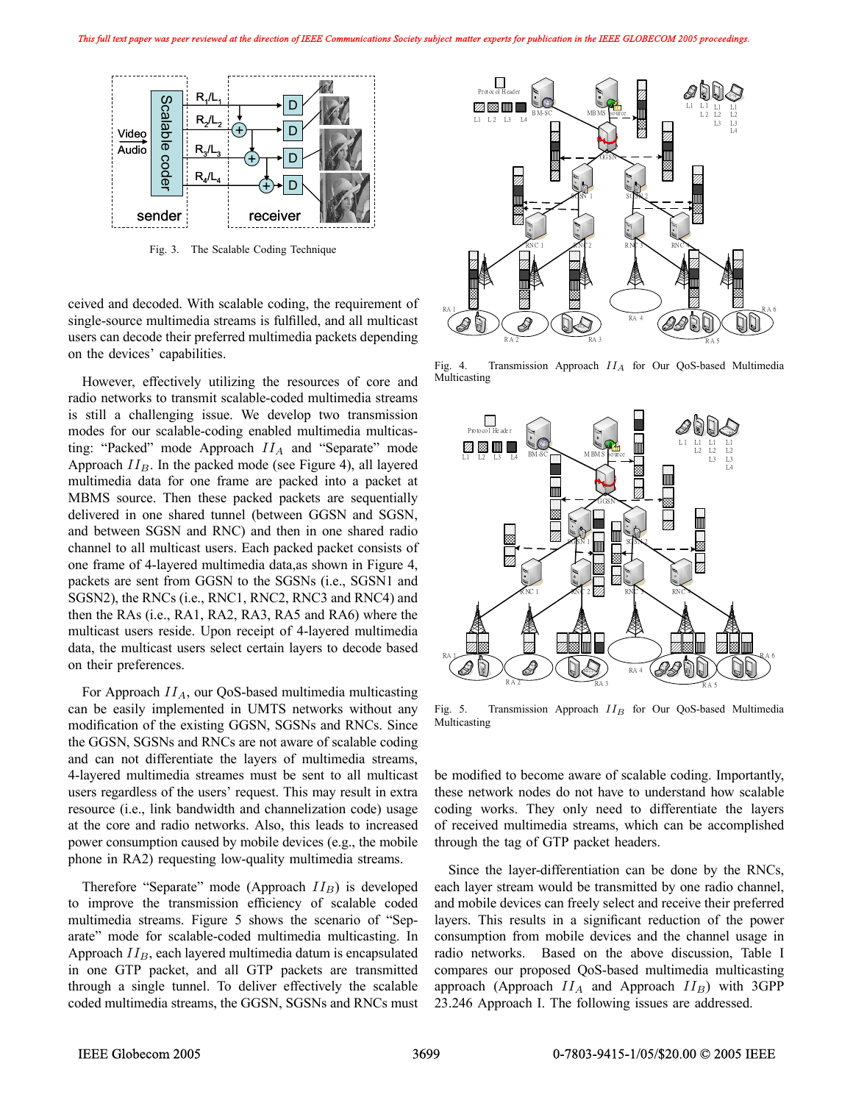

Fig. 3. The Scalable Coding Technique

ceived and decoded. With scalable coding, the requirement of single-source multimedia streams is fulfilled, and all multicast users can decode their preferred multimedia packets depending on the devices' capabilities.

However, effectively utilizing the resources of core and radio networks to transmit scalable-coded multimedia streams is still a challenging issue. We develop two transmission modes for our scalable-coding enabled multimedia multicasting: "Packed" mode Approach  $II_A$  and "Separate" mode Approach  $II_B$ . In the packed mode (see Figure 4), all layered multimedia data for one frame are packed into a packet at MBMS source. Then these packed packets are sequentially delivered in one shared tunnel (between GGSN and SGSN, and between SGSN and RNC) and then in one shared radio channel to all multicast users. Each packed packet consists of one frame of 4-layered multimedia data,as shown in Figure 4, packets are sent from GGSN to the SGSNs (i.e., SGSN1 and SGSN2), the RNCs (i.e., RNC1, RNC2, RNC3 and RNC4) and then the RAs (i.e., RA1, RA2, RA3, RA5 and RA6) where the multicast users reside. Upon receipt of 4-layered multimedia data, the multicast users select certain layers to decode based on their preferences.

For Approach  $II_A$ , our QoS-based multimedia multicasting can be easily implemented in UMTS networks without any modification of the existing GGSN, SGSNs and RNCs. Since the GGSN, SGSNs and RNCs are not aware of scalable coding and can not differentiate the layers of multimedia streams, 4-layered multimedia streames must be sent to all multicast users regardless of the users' request. This may result in extra resource (i.e., link bandwidth and channelization code) usage at the core and radio networks. Also, this leads to increased power consumption caused by mobile devices (e.g., the mobile phone in RA2) requesting low-quality multimedia streams.

Therefore "Separate" mode (Approach  $II_B$ ) is developed to improve the transmission efficiency of scalable coded multimedia streams. Figure 5 shows the scenario of "Separate" mode for scalable-coded multimedia multicasting. In Approach  $II_B$ , each layered multimedia datum is encapsulated in one GTP packet, and all GTP packets are transmitted through a single tunnel. To deliver effectively the scalable coded multimedia streams, the GGSN, SGSNs and RNCs must



Fig. 4. Transmission Approach  $II_A$  for Our QoS-based Multimedia Multicasting



Fig. 5. Transmission Approach  $II_B$  for Our QoS-based Multimedia Multicasting

be modified to become aware of scalable coding. Importantly, these network nodes do not have to understand how scalable coding works. They only need to differentiate the layers of received multimedia streams, which can be accomplished through the tag of GTP packet headers.

Since the layer-differentiation can be done by the RNCs, each layer stream would be transmitted by one radio channel, and mobile devices can freely select and receive their preferred layers. This results in a significant reduction of the power consumption from mobile devices and the channel usage in radio networks. Based on the above discussion, Table I compares our proposed QoS-based multimedia multicasting approach (Approach  $II_A$  and Approach  $II_B$ ) with 3GPP 23.246 Approach I. The following issues are addressed.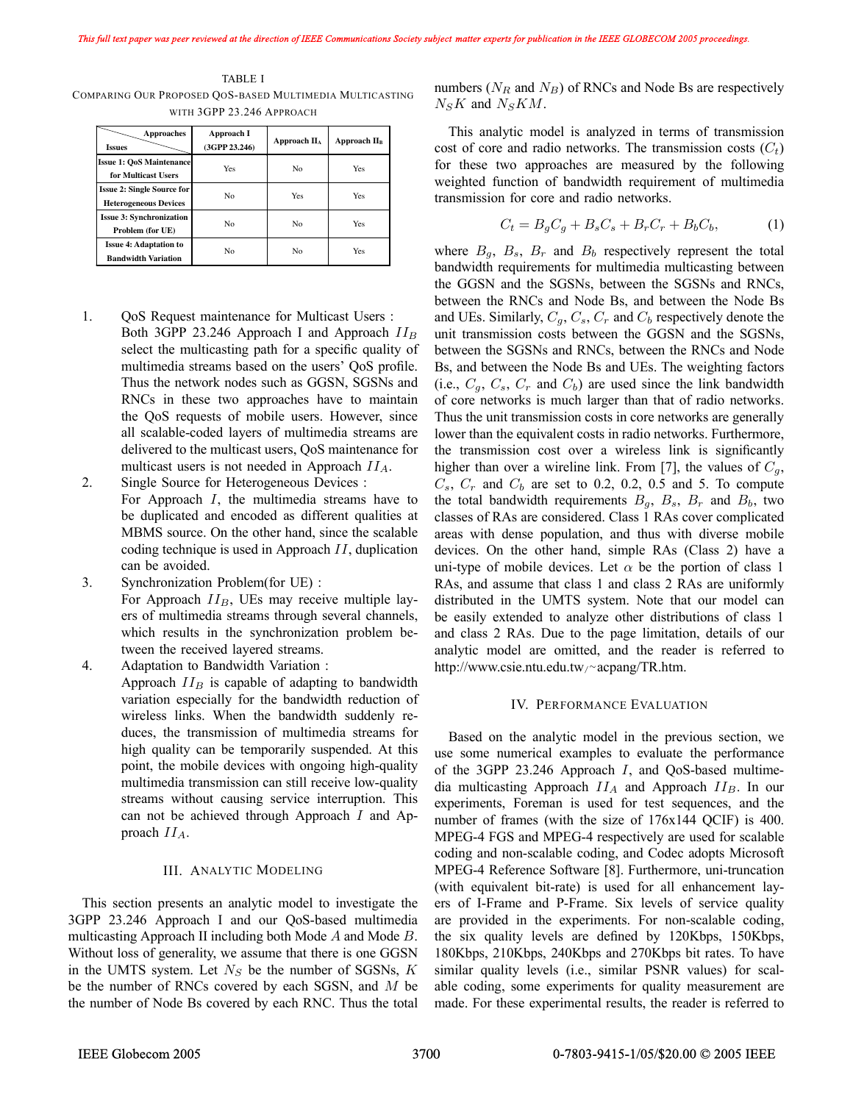TABLE I COMPARING OUR PROPOSED QOS-BASED MULTIMEDIA MULTICASTING WITH 3GPP 23.246 APPROACH

| Approaches<br><b>Issues</b>                                       | Approach I<br>(3GPP 23.246) | Approach $\mathbf{II}_A$ | Approach II <sub>B</sub> |
|-------------------------------------------------------------------|-----------------------------|--------------------------|--------------------------|
| <b>Issue 1: OoS Maintenance</b><br>for Multicast Users            | <b>Yes</b>                  | No                       | Yes                      |
| <b>Issue 2: Single Source for</b><br><b>Heterogeneous Devices</b> | No                          | Yes                      | Yes                      |
| <b>Issue 3: Synchronization</b><br>Problem (for UE)               | No                          | No                       | Yes                      |
| <b>Issue 4: Adaptation to</b><br><b>Bandwidth Variation</b>       | No                          | No                       | Yes                      |

1. QoS Request maintenance for Multicast Users : Both 3GPP 23.246 Approach I and Approach  $II_B$ select the multicasting path for a specific quality of multimedia streams based on the users' QoS profile. Thus the network nodes such as GGSN, SGSNs and RNCs in these two approaches have to maintain the QoS requests of mobile users. However, since all scalable-coded layers of multimedia streams are delivered to the multicast users, QoS maintenance for multicast users is not needed in Approach  $II_A$ .

2. Single Source for Heterogeneous Devices : For Approach I, the multimedia streams have to be duplicated and encoded as different qualities at MBMS source. On the other hand, since the scalable coding technique is used in Approach II, duplication can be avoided.

3. Synchronization Problem(for UE) : For Approach  $II_B$ , UEs may receive multiple layers of multimedia streams through several channels, which results in the synchronization problem between the received layered streams.

4. Adaptation to Bandwidth Variation : Approach  $II_B$  is capable of adapting to bandwidth variation especially for the bandwidth reduction of wireless links. When the bandwidth suddenly reduces, the transmission of multimedia streams for high quality can be temporarily suspended. At this point, the mobile devices with ongoing high-quality multimedia transmission can still receive low-quality streams without causing service interruption. This can not be achieved through Approach I and Approach  $II_A$ .

#### III. ANALYTIC MODELING

This section presents an analytic model to investigate the 3GPP 23.246 Approach I and our QoS-based multimedia multicasting Approach II including both Mode A and Mode B. Without loss of generality, we assume that there is one GGSN in the UMTS system. Let  $N<sub>S</sub>$  be the number of SGSNs,  $K$ be the number of RNCs covered by each SGSN, and  $M$  be the number of Node Bs covered by each RNC. Thus the total numbers ( $N_R$  and  $N_B$ ) of RNCs and Node Bs are respectively  $N_S K$  and  $N_S K M$ .

This analytic model is analyzed in terms of transmission cost of core and radio networks. The transmission costs  $(C_t)$ for these two approaches are measured by the following weighted function of bandwidth requirement of multimedia transmission for core and radio networks.

$$
C_t = B_g C_g + B_s C_s + B_r C_r + B_b C_b, \tag{1}
$$

where  $B_q$ ,  $B_s$ ,  $B_r$  and  $B_b$  respectively represent the total bandwidth requirements for multimedia multicasting between the GGSN and the SGSNs, between the SGSNs and RNCs, between the RNCs and Node Bs, and between the Node Bs and UEs. Similarly,  $C_g$ ,  $C_s$ ,  $C_r$  and  $C_b$  respectively denote the unit transmission costs between the GGSN and the SGSNs, between the SGSNs and RNCs, between the RNCs and Node Bs, and between the Node Bs and UEs. The weighting factors (i.e.,  $C_q$ ,  $C_s$ ,  $C_r$  and  $C_b$ ) are used since the link bandwidth of core networks is much larger than that of radio networks. Thus the unit transmission costs in core networks are generally lower than the equivalent costs in radio networks. Furthermore, the transmission cost over a wireless link is significantly higher than over a wireline link. From [7], the values of  $C_q$ ,  $C_s$ ,  $C_r$  and  $C_b$  are set to 0.2, 0.2, 0.5 and 5. To compute the total bandwidth requirements  $B_q$ ,  $B_s$ ,  $B_r$  and  $B_b$ , two classes of RAs are considered. Class 1 RAs cover complicated areas with dense population, and thus with diverse mobile devices. On the other hand, simple RAs (Class 2) have a uni-type of mobile devices. Let  $\alpha$  be the portion of class 1 RAs, and assume that class 1 and class 2 RAs are uniformly distributed in the UMTS system. Note that our model can be easily extended to analyze other distributions of class 1 and class 2 RAs. Due to the page limitation, details of our analytic model are omitted, and the reader is referred to http://www.csie.ntu.edu.tw/<sup>∼</sup>acpang/TR.htm.

#### IV. PERFORMANCE EVALUATION

Based on the analytic model in the previous section, we use some numerical examples to evaluate the performance of the 3GPP  $23.246$  Approach I, and QoS-based multimedia multicasting Approach  $II_A$  and Approach  $II_B$ . In our experiments, Foreman is used for test sequences, and the number of frames (with the size of 176x144 QCIF) is 400. MPEG-4 FGS and MPEG-4 respectively are used for scalable coding and non-scalable coding, and Codec adopts Microsoft MPEG-4 Reference Software [8]. Furthermore, uni-truncation (with equivalent bit-rate) is used for all enhancement layers of I-Frame and P-Frame. Six levels of service quality are provided in the experiments. For non-scalable coding, the six quality levels are defined by 120Kbps, 150Kbps, 180Kbps, 210Kbps, 240Kbps and 270Kbps bit rates. To have similar quality levels (i.e., similar PSNR values) for scalable coding, some experiments for quality measurement are made. For these experimental results, the reader is referred to